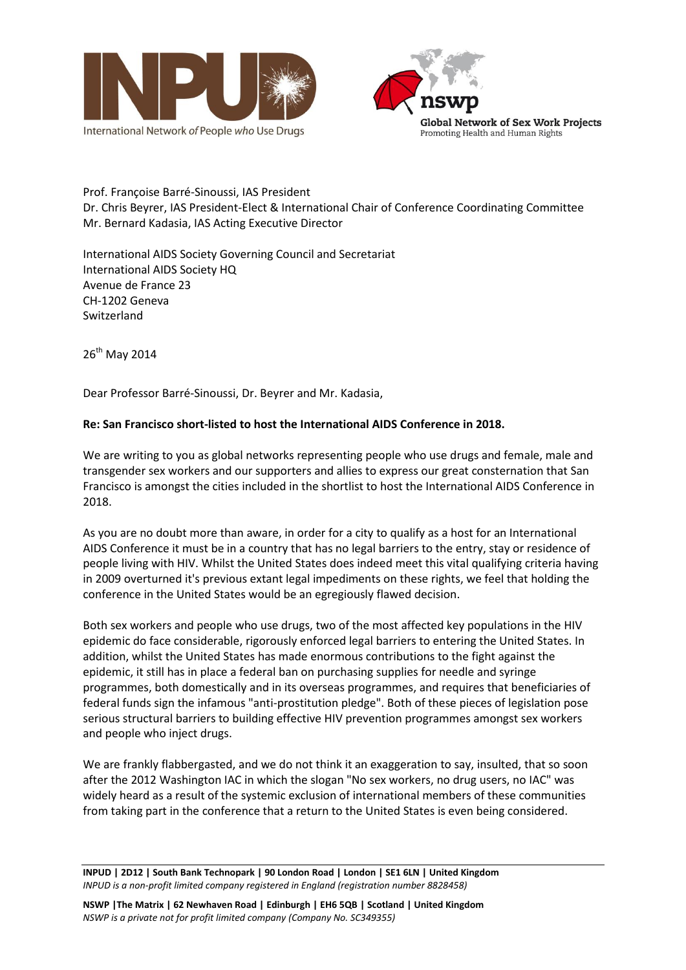



Prof. Françoise Barré-Sinoussi, IAS President Dr. Chris Beyrer, IAS President-Elect & International Chair of Conference Coordinating Committee Mr. Bernard Kadasia, IAS Acting Executive Director

International AIDS Society Governing Council and Secretariat International AIDS Society HQ Avenue de France 23 CH-1202 Geneva Switzerland

26<sup>th</sup> May 2014

Dear Professor Barré-Sinoussi, Dr. Beyrer and Mr. Kadasia,

## **Re: San Francisco short-listed to host the International AIDS Conference in 2018.**

We are writing to you as global networks representing people who use drugs and female, male and transgender sex workers and our supporters and allies to express our great consternation that San Francisco is amongst the cities included in the shortlist to host the International AIDS Conference in 2018.

As you are no doubt more than aware, in order for a city to qualify as a host for an International AIDS Conference it must be in a country that has no legal barriers to the entry, stay or residence of people living with HIV. Whilst the United States does indeed meet this vital qualifying criteria having in 2009 overturned it's previous extant legal impediments on these rights, we feel that holding the conference in the United States would be an egregiously flawed decision.

Both sex workers and people who use drugs, two of the most affected key populations in the HIV epidemic do face considerable, rigorously enforced legal barriers to entering the United States. In addition, whilst the United States has made enormous contributions to the fight against the epidemic, it still has in place a federal ban on purchasing supplies for needle and syringe programmes, both domestically and in its overseas programmes, and requires that beneficiaries of federal funds sign the infamous "anti-prostitution pledge". Both of these pieces of legislation pose serious structural barriers to building effective HIV prevention programmes amongst sex workers and people who inject drugs.

We are frankly flabbergasted, and we do not think it an exaggeration to say, insulted, that so soon after the 2012 Washington IAC in which the slogan "No sex workers, no drug users, no IAC" was widely heard as a result of the systemic exclusion of international members of these communities from taking part in the conference that a return to the United States is even being considered.

**INPUD | 2D12 | South Bank Technopark | 90 London Road | London | SE1 6LN | United Kingdom** *INPUD is a non-profit limited company registered in England (registration number 8828458)*

**NSWP |The Matrix | 62 Newhaven Road | Edinburgh | EH6 5QB | Scotland | United Kingdom** *NSWP is a private not for profit limited company (Company No. SC349355)*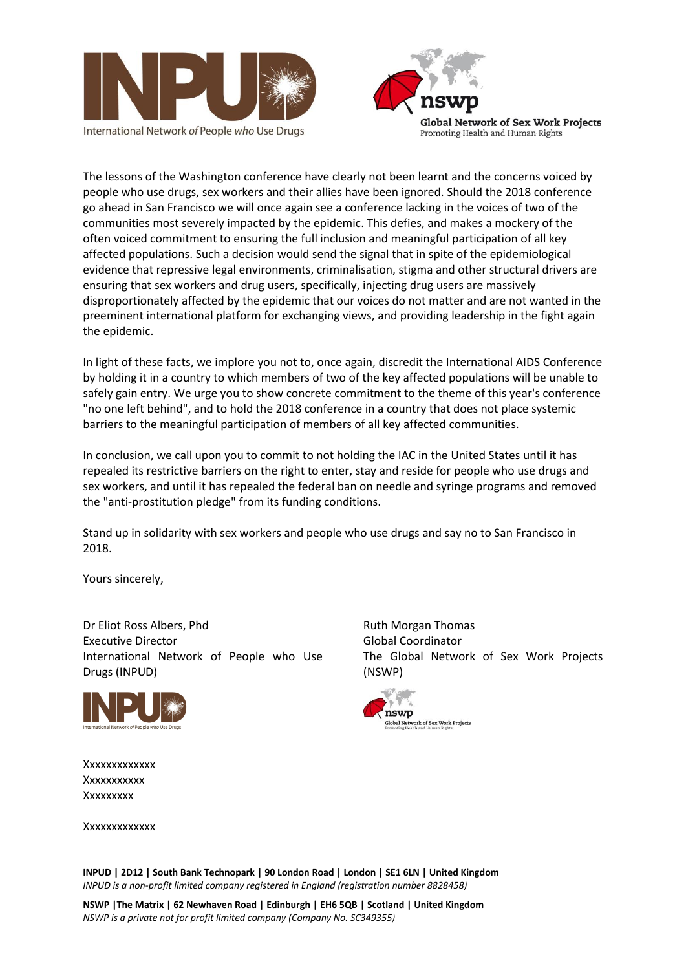





The lessons of the Washington conference have clearly not been learnt and the concerns voiced by people who use drugs, sex workers and their allies have been ignored. Should the 2018 conference go ahead in San Francisco we will once again see a conference lacking in the voices of two of the communities most severely impacted by the epidemic. This defies, and makes a mockery of the often voiced commitment to ensuring the full inclusion and meaningful participation of all key affected populations. Such a decision would send the signal that in spite of the epidemiological evidence that repressive legal environments, criminalisation, stigma and other structural drivers are ensuring that sex workers and drug users, specifically, injecting drug users are massively disproportionately affected by the epidemic that our voices do not matter and are not wanted in the preeminent international platform for exchanging views, and providing leadership in the fight again the epidemic.

In light of these facts, we implore you not to, once again, discredit the International AIDS Conference by holding it in a country to which members of two of the key affected populations will be unable to safely gain entry. We urge you to show concrete commitment to the theme of this year's conference "no one left behind", and to hold the 2018 conference in a country that does not place systemic barriers to the meaningful participation of members of all key affected communities.

In conclusion, we call upon you to commit to not holding the IAC in the United States until it has repealed its restrictive barriers on the right to enter, stay and reside for people who use drugs and sex workers, and until it has repealed the federal ban on needle and syringe programs and removed the "anti-prostitution pledge" from its funding conditions.

Stand up in solidarity with sex workers and people who use drugs and say no to San Francisco in 2018.

Yours sincerely,

Dr Eliot Ross Albers, Phd Executive Director International Network of People who Use Drugs (INPUD)



Ruth Morgan Thomas Global Coordinator The Global Network of Sex Work Projects (NSWP)



Xxxxxxxxxxxxx Xxxxxxxxxxx Xxxxxxxxx

Xxxxxxxxxxxxx

**INPUD | 2D12 | South Bank Technopark | 90 London Road | London | SE1 6LN | United Kingdom** *INPUD is a non-profit limited company registered in England (registration number 8828458)*

**NSWP |The Matrix | 62 Newhaven Road | Edinburgh | EH6 5QB | Scotland | United Kingdom** *NSWP is a private not for profit limited company (Company No. SC349355)*